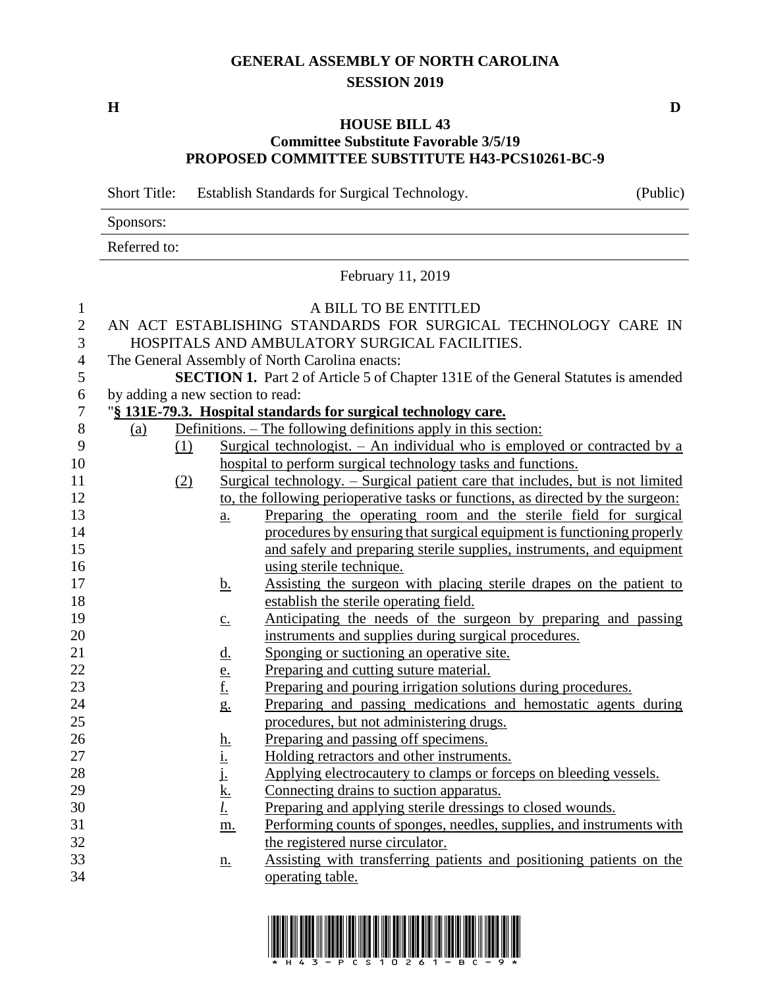## **GENERAL ASSEMBLY OF NORTH CAROLINA SESSION 2019**

**H D**

## **HOUSE BILL 43 Committee Substitute Favorable 3/5/19 PROPOSED COMMITTEE SUBSTITUTE H43-PCS10261-BC-9**

Short Title: Establish Standards for Surgical Technology. (Public) Sponsors: Referred to: February 11, 2019 A BILL TO BE ENTITLED AN ACT ESTABLISHING STANDARDS FOR SURGICAL TECHNOLOGY CARE IN HOSPITALS AND AMBULATORY SURGICAL FACILITIES. The General Assembly of North Carolina enacts: **SECTION 1.** Part 2 of Article 5 of Chapter 131E of the General Statutes is amended by adding a new section to read: "**§ 131E-79.3. Hospital standards for surgical technology care.**  $(a)$  Definitions. – The following definitions apply in this section: (1) Surgical technologist. – An individual who is employed or contracted by a hospital to perform surgical technology tasks and functions. (2) Surgical technology. – Surgical patient care that includes, but is not limited to, the following perioperative tasks or functions, as directed by the surgeon: a. Preparing the operating room and the sterile field for surgical procedures by ensuring that surgical equipment is functioning properly and safely and preparing sterile supplies, instruments, and equipment using sterile technique. 17 b. Assisting the surgeon with placing sterile drapes on the patient to establish the sterile operating field. c. Anticipating the needs of the surgeon by preparing and passing instruments and supplies during surgical procedures. d. Sponging or suctioning an operative site. 22 e. Preparing and cutting suture material. f. Preparing and pouring irrigation solutions during procedures. g. Preparing and passing medications and hemostatic agents during procedures, but not administering drugs. 26 h. Preparing and passing off specimens. 27 i. Holding retractors and other instruments. 28 j. Applying electrocautery to clamps or forceps on bleeding vessels. 29 k. Connecting drains to suction apparatus. *l*. Preparing and applying sterile dressings to closed wounds. m. Performing counts of sponges, needles, supplies, and instruments with the registered nurse circulator. n. Assisting with transferring patients and positioning patients on the operating table.

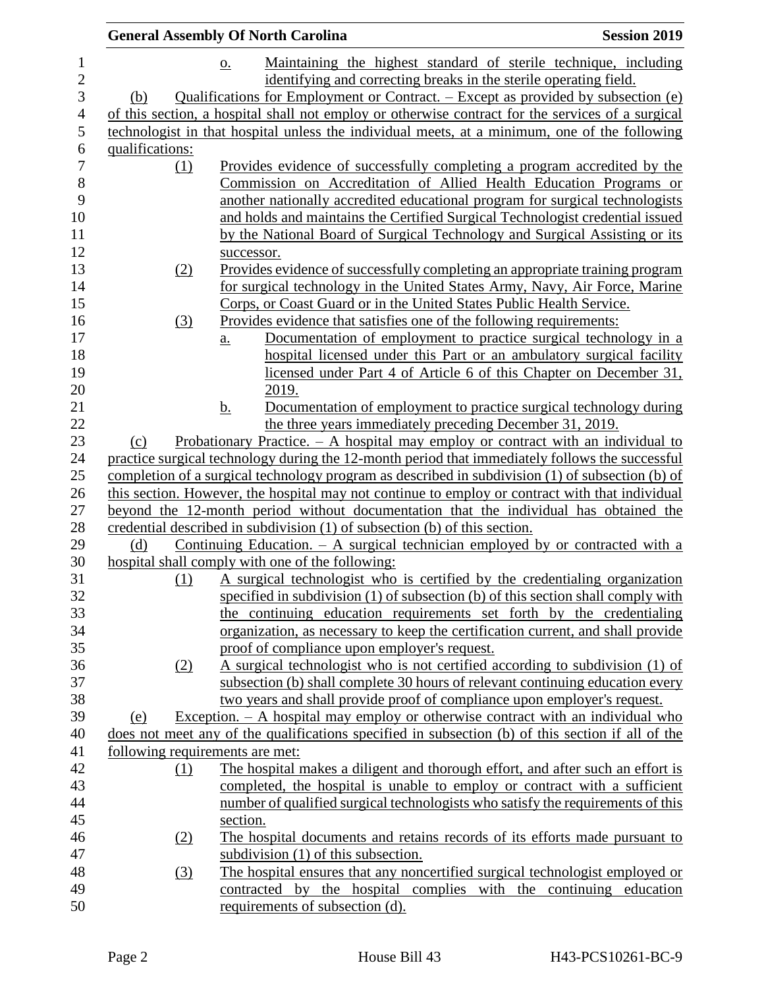|                  | <b>General Assembly Of North Carolina</b>                                                         | <b>Session 2019</b> |
|------------------|---------------------------------------------------------------------------------------------------|---------------------|
|                  | Maintaining the highest standard of sterile technique, including<br>$\underline{\mathbf{O}}$ .    |                     |
|                  | identifying and correcting breaks in the sterile operating field.                                 |                     |
| (b)              | Qualifications for Employment or Contract. – Except as provided by subsection (e)                 |                     |
|                  | of this section, a hospital shall not employ or otherwise contract for the services of a surgical |                     |
|                  | technologist in that hospital unless the individual meets, at a minimum, one of the following     |                     |
| qualifications:  |                                                                                                   |                     |
|                  | Provides evidence of successfully completing a program accredited by the                          |                     |
| (1)              |                                                                                                   |                     |
|                  | Commission on Accreditation of Allied Health Education Programs or                                |                     |
|                  | another nationally accredited educational program for surgical technologists                      |                     |
|                  | and holds and maintains the Certified Surgical Technologist credential issued                     |                     |
|                  | by the National Board of Surgical Technology and Surgical Assisting or its                        |                     |
|                  | successor.                                                                                        |                     |
| (2)              | Provides evidence of successfully completing an appropriate training program                      |                     |
|                  | for surgical technology in the United States Army, Navy, Air Force, Marine                        |                     |
|                  | Corps, or Coast Guard or in the United States Public Health Service.                              |                     |
| (3)              | Provides evidence that satisfies one of the following requirements:                               |                     |
|                  | Documentation of employment to practice surgical technology in a<br>$\underline{a}$ .             |                     |
|                  | hospital licensed under this Part or an ambulatory surgical facility                              |                     |
|                  | licensed under Part 4 of Article 6 of this Chapter on December 31,                                |                     |
|                  | 2019.                                                                                             |                     |
|                  | <u>b.</u><br>Documentation of employment to practice surgical technology during                   |                     |
|                  | the three years immediately preceding December 31, 2019.                                          |                     |
| (c)              | Probationary Practice. $-$ A hospital may employ or contract with an individual to                |                     |
|                  | practice surgical technology during the 12-month period that immediately follows the successful   |                     |
|                  | completion of a surgical technology program as described in subdivision (1) of subsection (b) of  |                     |
|                  | this section. However, the hospital may not continue to employ or contract with that individual   |                     |
|                  | beyond the 12-month period without documentation that the individual has obtained the             |                     |
|                  | credential described in subdivision (1) of subsection (b) of this section.                        |                     |
| (d)              | Continuing Education. $-$ A surgical technician employed by or contracted with a                  |                     |
|                  | hospital shall comply with one of the following:                                                  |                     |
| (1)              | A surgical technologist who is certified by the credentialing organization                        |                     |
|                  | specified in subdivision (1) of subsection (b) of this section shall comply with                  |                     |
|                  | the continuing education requirements set forth by the credentialing                              |                     |
|                  | organization, as necessary to keep the certification current, and shall provide                   |                     |
|                  | proof of compliance upon employer's request.                                                      |                     |
| (2)              | A surgical technologist who is not certified according to subdivision (1) of                      |                     |
|                  | subsection (b) shall complete 30 hours of relevant continuing education every                     |                     |
|                  | two years and shall provide proof of compliance upon employer's request.                          |                     |
| (e)              | Exception. $-$ A hospital may employ or otherwise contract with an individual who                 |                     |
|                  | does not meet any of the qualifications specified in subsection (b) of this section if all of the |                     |
|                  | following requirements are met:                                                                   |                     |
| (1)              | The hospital makes a diligent and thorough effort, and after such an effort is                    |                     |
|                  | completed, the hospital is unable to employ or contract with a sufficient                         |                     |
|                  | number of qualified surgical technologists who satisfy the requirements of this                   |                     |
|                  | section.                                                                                          |                     |
| (2)              | The hospital documents and retains records of its efforts made pursuant to                        |                     |
|                  | subdivision $(1)$ of this subsection.                                                             |                     |
| $\left(3\right)$ | The hospital ensures that any noncertified surgical technologist employed or                      |                     |
|                  | contracted by the hospital complies with the continuing education                                 |                     |
|                  | requirements of subsection (d).                                                                   |                     |
|                  |                                                                                                   |                     |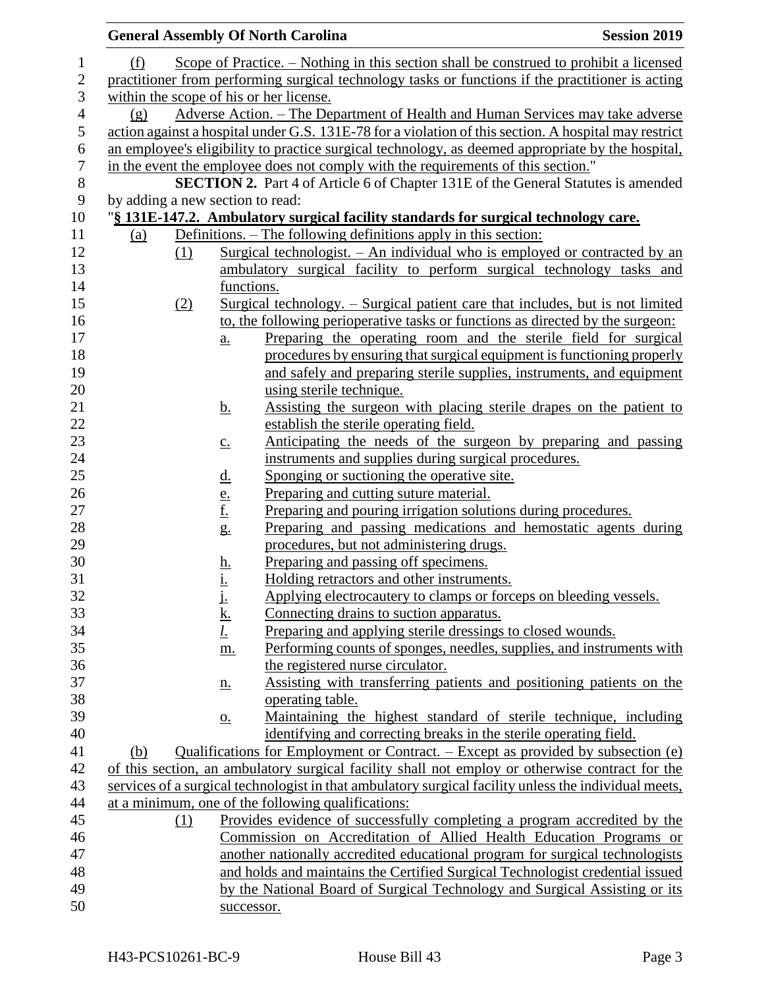|                                  |     |                                | <b>General Assembly Of North Carolina</b>                                                             | <b>Session 2019</b> |
|----------------------------------|-----|--------------------------------|-------------------------------------------------------------------------------------------------------|---------------------|
| (f)                              |     |                                | Scope of Practice. – Nothing in this section shall be construed to prohibit a licensed                |                     |
|                                  |     |                                | practitioner from performing surgical technology tasks or functions if the practitioner is acting     |                     |
|                                  |     |                                | within the scope of his or her license.                                                               |                     |
| (g)                              |     |                                | Adverse Action. – The Department of Health and Human Services may take adverse                        |                     |
|                                  |     |                                | action against a hospital under G.S. 131E-78 for a violation of this section. A hospital may restrict |                     |
|                                  |     |                                | an employee's eligibility to practice surgical technology, as deemed appropriate by the hospital,     |                     |
|                                  |     |                                | in the event the employee does not comply with the requirements of this section."                     |                     |
|                                  |     |                                | <b>SECTION 2.</b> Part 4 of Article 6 of Chapter 131E of the General Statutes is amended              |                     |
| by adding a new section to read: |     |                                |                                                                                                       |                     |
|                                  |     |                                | "§ 131E-147.2. Ambulatory surgical facility standards for surgical technology care.                   |                     |
| (a)                              |     |                                | Definitions. – The following definitions apply in this section:                                       |                     |
|                                  | (1) |                                | <u>Surgical technologist. – An individual who is employed or contracted by an</u>                     |                     |
|                                  |     |                                | ambulatory surgical facility to perform surgical technology tasks and                                 |                     |
|                                  |     | functions.                     |                                                                                                       |                     |
|                                  | (2) |                                | Surgical technology. – Surgical patient care that includes, but is not limited                        |                     |
|                                  |     |                                | to, the following perioperative tasks or functions as directed by the surgeon:                        |                     |
|                                  |     | $\underline{a}$ .              | Preparing the operating room and the sterile field for surgical                                       |                     |
|                                  |     |                                | procedures by ensuring that surgical equipment is functioning properly                                |                     |
|                                  |     |                                | and safely and preparing sterile supplies, instruments, and equipment                                 |                     |
|                                  |     |                                | using sterile technique.                                                                              |                     |
|                                  |     | <u>b.</u>                      | Assisting the surgeon with placing sterile drapes on the patient to                                   |                     |
|                                  |     |                                | establish the sterile operating field.                                                                |                     |
|                                  |     | $\underline{c}$ .              | Anticipating the needs of the surgeon by preparing and passing                                        |                     |
|                                  |     |                                | instruments and supplies during surgical procedures.                                                  |                     |
|                                  |     | <u>d.</u>                      | Sponging or suctioning the operative site.                                                            |                     |
|                                  |     | $\frac{e}{f}$<br>$\frac{f}{g}$ | Preparing and cutting suture material.                                                                |                     |
|                                  |     |                                | Preparing and pouring irrigation solutions during procedures.                                         |                     |
|                                  |     |                                | Preparing and passing medications and hemostatic agents during                                        |                     |
|                                  |     |                                | procedures, but not administering drugs.                                                              |                     |
|                                  |     | <u>h.</u><br><u>i.</u>         | Preparing and passing off specimens.                                                                  |                     |
|                                  |     |                                | Holding retractors and other instruments.                                                             |                     |
|                                  |     | i,                             | Applying electrocautery to clamps or forceps on bleeding vessels.                                     |                     |
|                                  |     | <u>k.</u><br><u>l.</u>         | Connecting drains to suction apparatus.<br>Preparing and applying sterile dressings to closed wounds. |                     |
|                                  |     |                                | Performing counts of sponges, needles, supplies, and instruments with                                 |                     |
|                                  |     | m.                             | the registered nurse circulator.                                                                      |                     |
|                                  |     |                                | Assisting with transferring patients and positioning patients on the                                  |                     |
|                                  |     | <u>n.</u>                      | operating table.                                                                                      |                     |
|                                  |     | $\underline{0}$ .              | Maintaining the highest standard of sterile technique, including                                      |                     |
|                                  |     |                                | identifying and correcting breaks in the sterile operating field.                                     |                     |
| (b)                              |     |                                | Qualifications for Employment or Contract. – Except as provided by subsection (e)                     |                     |
|                                  |     |                                | of this section, an ambulatory surgical facility shall not employ or otherwise contract for the       |                     |
|                                  |     |                                | services of a surgical technologist in that ambulatory surgical facility unless the individual meets, |                     |
|                                  |     |                                | at a minimum, one of the following qualifications:                                                    |                     |
|                                  | (1) |                                | Provides evidence of successfully completing a program accredited by the                              |                     |
|                                  |     |                                | Commission on Accreditation of Allied Health Education Programs or                                    |                     |
|                                  |     |                                | another nationally accredited educational program for surgical technologists                          |                     |
|                                  |     |                                | and holds and maintains the Certified Surgical Technologist credential issued                         |                     |
|                                  |     |                                | by the National Board of Surgical Technology and Surgical Assisting or its                            |                     |
|                                  |     | successor.                     |                                                                                                       |                     |
|                                  |     |                                |                                                                                                       |                     |